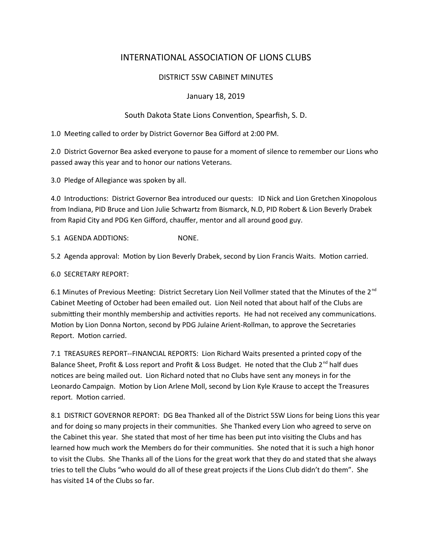# INTERNATIONAL ASSOCIATION OF LIONS CLUBS

## DISTRICT 5SW CABINET MINUTES

### January 18, 2019

### South Dakota State Lions Convention, Spearfish, S. D.

1.0 Meeting called to order by District Governor Bea Gifford at 2:00 PM.

2.0 District Governor Bea asked everyone to pause for a moment of silence to remember our Lions who passed away this year and to honor our nations Veterans.

3.0 Pledge of Allegiance was spoken by all.

4.0 Introductions: District Governor Bea introduced our quests: ID Nick and Lion Gretchen Xinopolous from Indiana, PID Bruce and Lion Julie Schwartz from Bismarck, N.D, PID Robert & Lion Beverly Drabek from Rapid City and PDG Ken Gifford, chauffer, mentor and all around good guy.

5.1 AGENDA ADDTIONS: NONE.

5.2 Agenda approval: Motion by Lion Beverly Drabek, second by Lion Francis Waits. Motion carried.

6.0 SECRETARY REPORT:

6.1 Minutes of Previous Meeting: District Secretary Lion Neil Vollmer stated that the Minutes of the 2<sup>nd</sup> Cabinet Meeting of October had been emailed out. Lion Neil noted that about half of the Clubs are submitting their monthly membership and activities reports. He had not received any communications. Motion by Lion Donna Norton, second by PDG Julaine Arient-Rollman, to approve the Secretaries Report. Motion carried.

7.1 TREASURES REPORT--FINANCIAL REPORTS: Lion Richard Waits presented a printed copy of the Balance Sheet, Profit & Loss report and Profit & Loss Budget. He noted that the Club  $2^{nd}$  half dues notices are being mailed out. Lion Richard noted that no Clubs have sent any moneys in for the Leonardo Campaign. Motion by Lion Arlene Moll, second by Lion Kyle Krause to accept the Treasures report. Motion carried.

8.1 DISTRICT GOVERNOR REPORT: DG Bea Thanked all of the District 5SW Lions for being Lions this year and for doing so many projects in their communities. She Thanked every Lion who agreed to serve on the Cabinet this year. She stated that most of her time has been put into visiting the Clubs and has learned how much work the Members do for their communities. She noted that it is such a high honor to visit the Clubs. She Thanks all of the Lions for the great work that they do and stated that she always tries to tell the Clubs "who would do all of these great projects if the Lions Club didn't do them". She has visited 14 of the Clubs so far.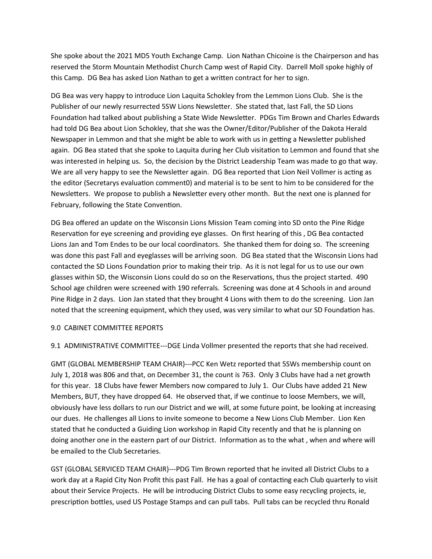She spoke about the 2021 MD5 Youth Exchange Camp. Lion Nathan Chicoine is the Chairperson and has reserved the Storm Mountain Methodist Church Camp west of Rapid City. Darrell Moll spoke highly of this Camp. DG Bea has asked Lion Nathan to get a written contract for her to sign.

DG Bea was very happy to introduce Lion Laquita Schokley from the Lemmon Lions Club. She is the Publisher of our newly resurrected 5SW Lions Newsletter. She stated that, last Fall, the SD Lions Foundation had talked about publishing a State Wide Newsletter. PDGs Tim Brown and Charles Edwards had told DG Bea about Lion Schokley, that she was the Owner/Editor/Publisher of the Dakota Herald Newspaper in Lemmon and that she might be able to work with us in getting a Newsletter published again. DG Bea stated that she spoke to Laquita during her Club visitation to Lemmon and found that she was interested in helping us. So, the decision by the District Leadership Team was made to go that way. We are all very happy to see the Newsletter again. DG Bea reported that Lion Neil Vollmer is acting as the editor (Secretarys evaluation comment0) and material is to be sent to him to be considered for the Newsletters. We propose to publish a Newsletter every other month. But the next one is planned for February, following the State Convention.

DG Bea offered an update on the Wisconsin Lions Mission Team coming into SD onto the Pine Ridge Reservation for eye screening and providing eye glasses. On first hearing of this , DG Bea contacted Lions Jan and Tom Endes to be our local coordinators. She thanked them for doing so. The screening was done this past Fall and eyeglasses will be arriving soon. DG Bea stated that the Wisconsin Lions had contacted the SD Lions Foundation prior to making their trip. As it is not legal for us to use our own glasses within SD, the Wisconsin Lions could do so on the Reservations, thus the project started. 490 School age children were screened with 190 referrals. Screening was done at 4 Schools in and around Pine Ridge in 2 days. Lion Jan stated that they brought 4 Lions with them to do the screening. Lion Jan noted that the screening equipment, which they used, was very similar to what our SD Foundation has.

#### 9.0 CABINET COMMITTEE REPORTS

9.1 ADMINISTRATIVE COMMITTEE---DGE Linda Vollmer presented the reports that she had received.

GMT (GLOBAL MEMBERSHIP TEAM CHAIR)---PCC Ken Wetz reported that 5SWs membership count on July 1, 2018 was 806 and that, on December 31, the count is 763. Only 3 Clubs have had a net growth for this year. 18 Clubs have fewer Members now compared to July 1. Our Clubs have added 21 New Members, BUT, they have dropped 64. He observed that, if we continue to loose Members, we will, obviously have less dollars to run our District and we will, at some future point, be looking at increasing our dues. He challenges all Lions to invite someone to become a New Lions Club Member. Lion Ken stated that he conducted a Guiding Lion workshop in Rapid City recently and that he is planning on doing another one in the eastern part of our District. Information as to the what , when and where will be emailed to the Club Secretaries.

GST (GLOBAL SERVICED TEAM CHAIR)---PDG Tim Brown reported that he invited all District Clubs to a work day at a Rapid City Non Profit this past Fall. He has a goal of contacting each Club quarterly to visit about their Service Projects. He will be introducing District Clubs to some easy recycling projects, ie, prescription bottles, used US Postage Stamps and can pull tabs. Pull tabs can be recycled thru Ronald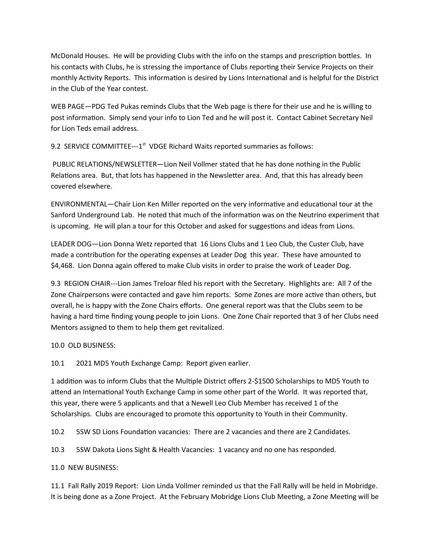McDonald Houses. He will be providing Clubs with the info on the stamps and prescription bottles. In his contacts with Clubs, he is stressing the importance of Clubs reporting their Service Projects on their monthly Activity Reports. This information is desired by Lions International and is helpful for the District in the Club of the Year contest.

WEB PAGE—PDG Ted Pukas reminds Clubs that the Web page is there for their use and he is willing to post information. Simply send your info to Lion Ted and he will post it. Contact Cabinet Secretary Neil for Lion Teds email address.

9.2 SERVICE COMMITTEE---1<sup>st</sup> VDGE Richard Waits reported summaries as follows:

 PUBLIC RELATIONS/NEWSLETTER—Lion Neil Vollmer stated that he has done nothing in the Public Relations area. But, that lots has happened in the Newsletter area. And, that this has already been covered elsewhere.

ENVIRONMENTAL—Chair Lion Ken Miller reported on the very informative and educational tour at the Sanford Underground Lab. He noted that much of the information was on the Neutrino experiment that is upcoming. He will plan a tour for this October and asked for suggestions and ideas from Lions.

LEADER DOG—Lion Donna Wetz reported that 16 Lions Clubs and 1 Leo Club, the Custer Club, have made a contribution for the operating expenses at Leader Dog this year. These have amounted to \$4,468. Lion Donna again offered to make Club visits in order to praise the work of Leader Dog.

9.3 REGION CHAIR---Lion James Treloar filed his report with the Secretary. Highlights are: All 7 of the Zone Chairpersons were contacted and gave him reports. Some Zones are more active than others, but overall, he is happy with the Zone Chairs efforts. One general report was that the Clubs seem to be having a hard time finding young people to join Lions. One Zone Chair reported that 3 of her Clubs need Mentors assigned to them to help them get revitalized.

10.0 OLD BUSINESS:

10.1 2021 MD5 Youth Exchange Camp: Report given earlier.

1 addition was to inform Clubs that the Multiple District offers 2-\$1500 Scholarships to MD5 Youth to attend an International Youth Exchange Camp in some other part of the World. It was reported that, this year, there were 5 applicants and that a Newell Leo Club Member has received 1 of the Scholarships. Clubs are encouraged to promote this opportunity to Youth in their Community.

10.2 5SW SD Lions Foundation vacancies: There are 2 vacancies and there are 2 Candidates.

10.3 5SW Dakota Lions Sight & Health Vacancies: 1 vacancy and no one has responded.

11.0 NEW BUSINESS:

11.1 Fall Rally 2019 Report: Lion Linda Vollmer reminded us that the Fall Rally will be held in Mobridge. It is being done as a Zone Project. At the February Mobridge Lions Club Meeting, a Zone Meeting will be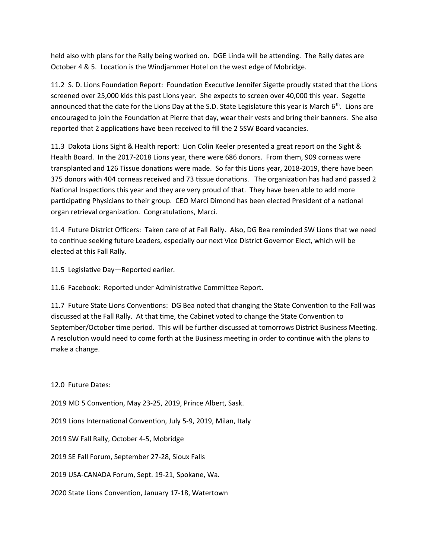held also with plans for the Rally being worked on. DGE Linda will be attending. The Rally dates are October 4 & 5. Location is the Windjammer Hotel on the west edge of Mobridge.

11.2 S. D. Lions Foundation Report: Foundation Executive Jennifer Sigette proudly stated that the Lions screened over 25,000 kids this past Lions year. She expects to screen over 40,000 this year. Segette announced that the date for the Lions Day at the S.D. State Legislature this year is March  $6<sup>th</sup>$ . Lions are encouraged to join the Foundation at Pierre that day, wear their vests and bring their banners. She also reported that 2 applications have been received to fill the 2 5SW Board vacancies.

11.3 Dakota Lions Sight & Health report: Lion Colin Keeler presented a great report on the Sight & Health Board. In the 2017-2018 Lions year, there were 686 donors. From them, 909 corneas were transplanted and 126 Tissue donations were made. So far this Lions year, 2018-2019, there have been 375 donors with 404 corneas received and 73 tissue donations. The organization has had and passed 2 National Inspections this year and they are very proud of that. They have been able to add more participating Physicians to their group. CEO Marci Dimond has been elected President of a national organ retrieval organization. Congratulations, Marci.

11.4 Future District Officers: Taken care of at Fall Rally. Also, DG Bea reminded SW Lions that we need to continue seeking future Leaders, especially our next Vice District Governor Elect, which will be elected at this Fall Rally.

11.5 Legislative Day—Reported earlier.

11.6 Facebook: Reported under Administrative Committee Report.

11.7 Future State Lions Conventions: DG Bea noted that changing the State Convention to the Fall was discussed at the Fall Rally. At that time, the Cabinet voted to change the State Convention to September/October time period. This will be further discussed at tomorrows District Business Meeting. A resolution would need to come forth at the Business meeting in order to continue with the plans to make a change.

12.0 Future Dates:

2019 MD 5 Convention, May 23-25, 2019, Prince Albert, Sask.

2019 Lions International Convention, July 5-9, 2019, Milan, Italy

2019 SW Fall Rally, October 4-5, Mobridge

2019 SE Fall Forum, September 27-28, Sioux Falls

2019 USA-CANADA Forum, Sept. 19-21, Spokane, Wa.

2020 State Lions Convention, January 17-18, Watertown